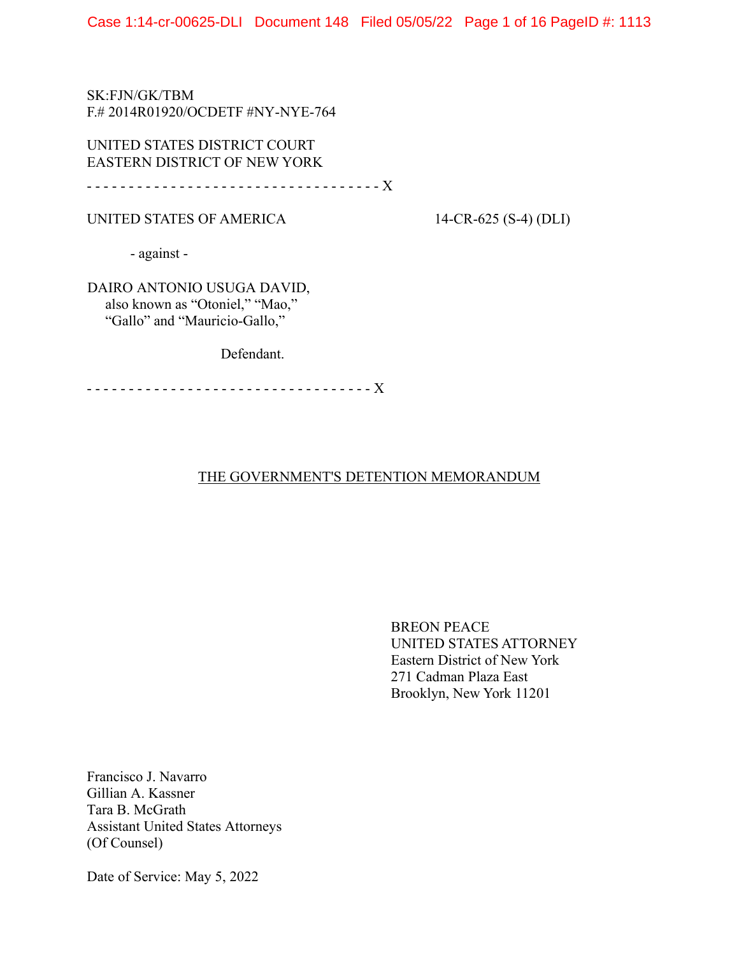SK:FJN/GK/TBM F.# 2014R01920/OCDETF #NY-NYE-764

UNITED STATES DISTRICT COURT EASTERN DISTRICT OF NEW YORK

- - - - - - - - - - - - - - - - - - - - - - - - - - - - - - - - - - - X

UNITED STATES OF AMERICA 14-CR-625 (S-4) (DLI)

- against -

 DAIRO ANTONIO USUGA DAVID, also known as "Otoniel," "Mao," "Gallo" and "Mauricio-Gallo,"

Defendant.

- - - - - - - - - - - - - - - - - - - - - - - - - - - - - - - - - - X

# THE GOVERNMENT'S DETENTION MEMORANDUM

BREON PEACE UNITED STATES ATTORNEY Eastern District of New York 271 Cadman Plaza East Brooklyn, New York 11201

Francisco J. Navarro Gillian A. Kassner Tara B. McGrath Assistant United States Attorneys (Of Counsel)

Date of Service: May 5, 2022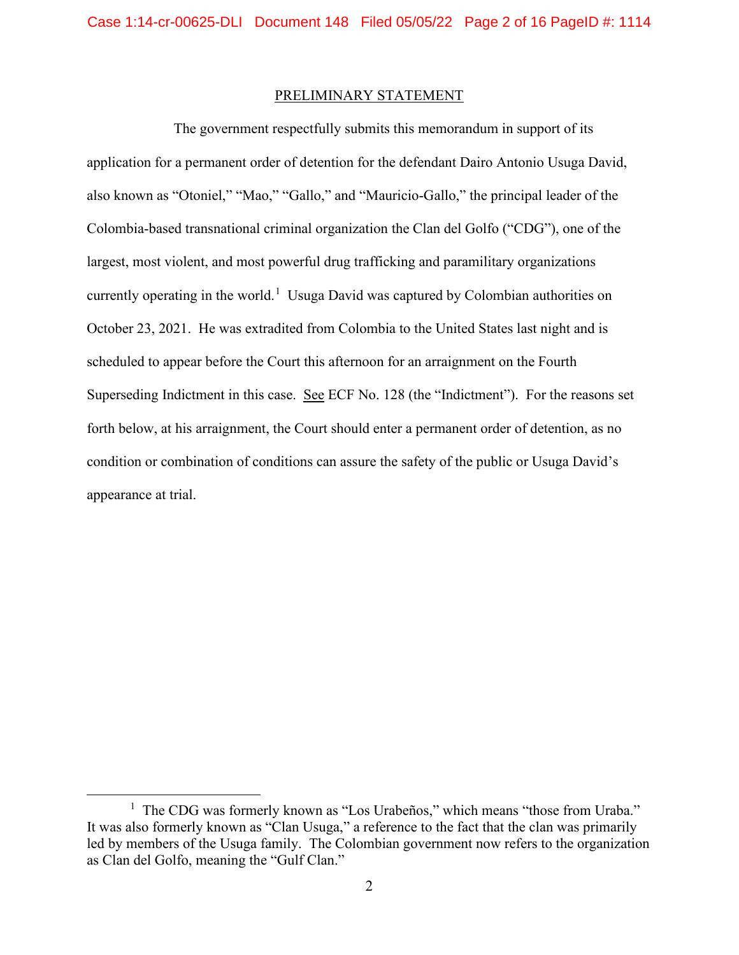## PRELIMINARY STATEMENT

 The government respectfully submits this memorandum in support of its application for a permanent order of detention for the defendant Dairo Antonio Usuga David, also known as "Otoniel," "Mao," "Gallo," and "Mauricio-Gallo," the principal leader of the Colombia-based transnational criminal organization the Clan del Golfo ("CDG"), one of the largest, most violent, and most powerful drug trafficking and paramilitary organizations currently operating in the world.<sup>[1](#page-1-0)</sup> Usuga David was captured by Colombian authorities on October 23, 2021. He was extradited from Colombia to the United States last night and is scheduled to appear before the Court this afternoon for an arraignment on the Fourth Superseding Indictment in this case. See ECF No. 128 (the "Indictment"). For the reasons set forth below, at his arraignment, the Court should enter a permanent order of detention, as no condition or combination of conditions can assure the safety of the public or Usuga David's appearance at trial.

<span id="page-1-0"></span><sup>&</sup>lt;sup>1</sup> The CDG was formerly known as "Los Urabeños," which means "those from Uraba." It was also formerly known as "Clan Usuga," a reference to the fact that the clan was primarily led by members of the Usuga family. The Colombian government now refers to the organization as Clan del Golfo, meaning the "Gulf Clan."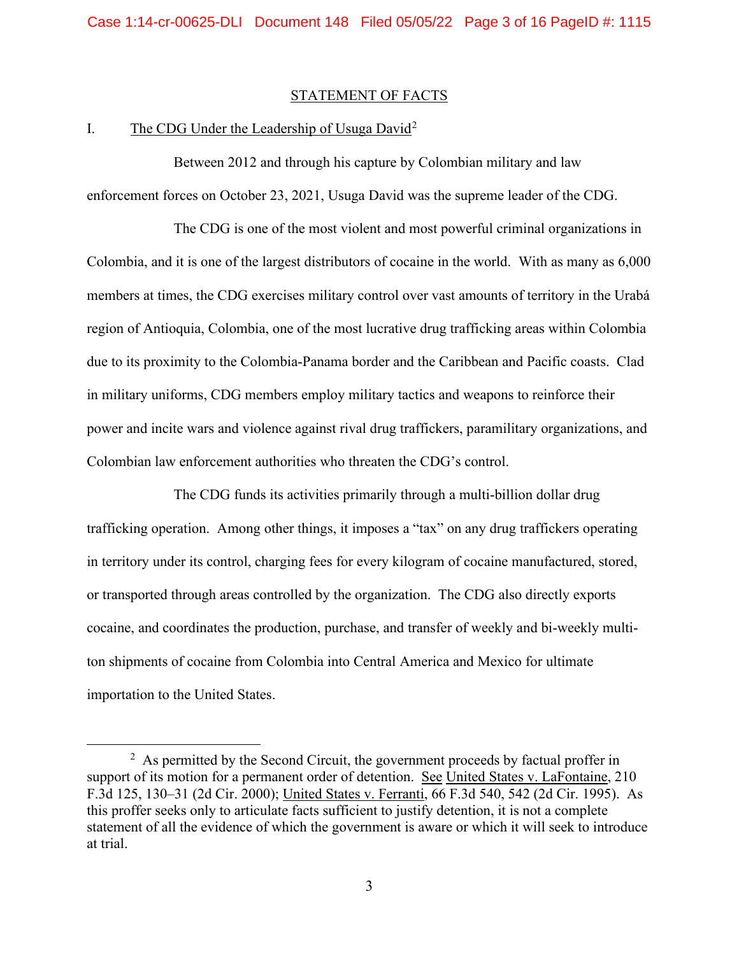## STATEMENT OF FACTS

## I. The CDG Under the Leadership of Usuga David<sup>[2](#page-2-0)</sup>

Between 2012 and through his capture by Colombian military and law enforcement forces on October 23, 2021, Usuga David was the supreme leader of the CDG.

The CDG is one of the most violent and most powerful criminal organizations in Colombia, and it is one of the largest distributors of cocaine in the world. With as many as 6,000 members at times, the CDG exercises military control over vast amounts of territory in the Urabá region of Antioquia, Colombia, one of the most lucrative drug trafficking areas within Colombia due to its proximity to the Colombia-Panama border and the Caribbean and Pacific coasts. Clad in military uniforms, CDG members employ military tactics and weapons to reinforce their power and incite wars and violence against rival drug traffickers, paramilitary organizations, and Colombian law enforcement authorities who threaten the CDG's control.

The CDG funds its activities primarily through a multi-billion dollar drug trafficking operation. Among other things, it imposes a "tax" on any drug traffickers operating in territory under its control, charging fees for every kilogram of cocaine manufactured, stored, or transported through areas controlled by the organization. The CDG also directly exports cocaine, and coordinates the production, purchase, and transfer of weekly and bi-weekly multiton shipments of cocaine from Colombia into Central America and Mexico for ultimate importation to the United States.

<span id="page-2-0"></span> $2$  As permitted by the Second Circuit, the government proceeds by factual proffer in support of its motion for a permanent order of detention. See United States v. LaFontaine, 210 F.3d 125, 130–31 (2d Cir. 2000); United States v. Ferranti, 66 F.3d 540, 542 (2d Cir. 1995). As this proffer seeks only to articulate facts sufficient to justify detention, it is not a complete statement of all the evidence of which the government is aware or which it will seek to introduce at trial.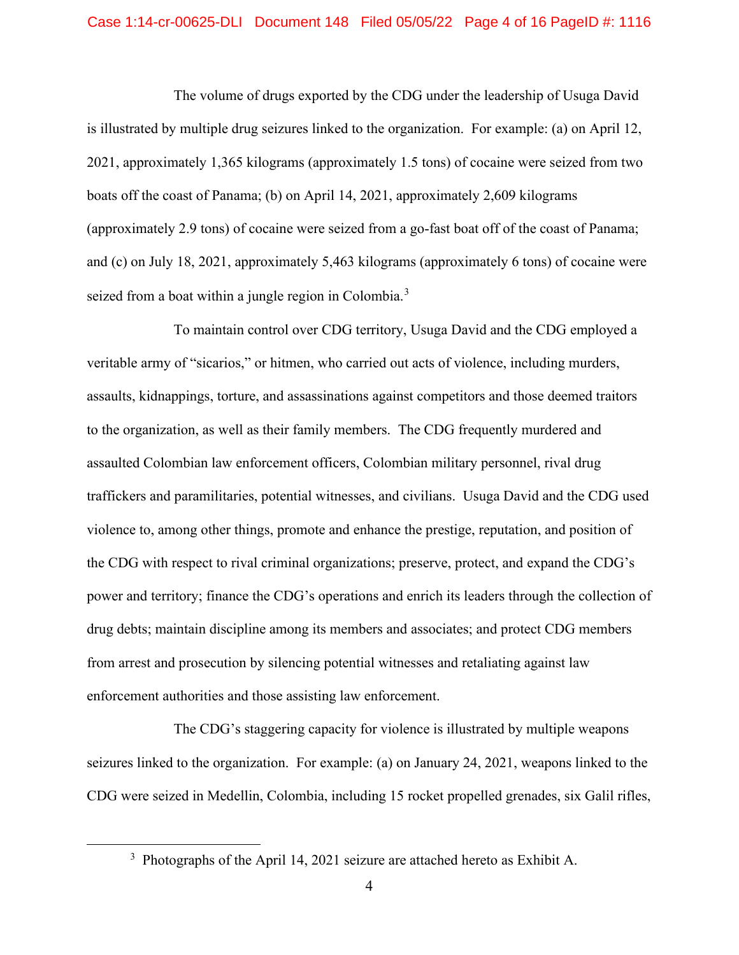### Case 1:14-cr-00625-DLI Document 148 Filed 05/05/22 Page 4 of 16 PageID #: 1116

The volume of drugs exported by the CDG under the leadership of Usuga David is illustrated by multiple drug seizures linked to the organization. For example: (a) on April 12, 2021, approximately 1,365 kilograms (approximately 1.5 tons) of cocaine were seized from two boats off the coast of Panama; (b) on April 14, 2021, approximately 2,609 kilograms (approximately 2.9 tons) of cocaine were seized from a go-fast boat off of the coast of Panama; and (c) on July 18, 2021, approximately 5,463 kilograms (approximately 6 tons) of cocaine were seized from a boat within a jungle region in Colombia.<sup>[3](#page-3-0)</sup>

To maintain control over CDG territory, Usuga David and the CDG employed a veritable army of "sicarios," or hitmen, who carried out acts of violence, including murders, assaults, kidnappings, torture, and assassinations against competitors and those deemed traitors to the organization, as well as their family members. The CDG frequently murdered and assaulted Colombian law enforcement officers, Colombian military personnel, rival drug traffickers and paramilitaries, potential witnesses, and civilians. Usuga David and the CDG used violence to, among other things, promote and enhance the prestige, reputation, and position of the CDG with respect to rival criminal organizations; preserve, protect, and expand the CDG's power and territory; finance the CDG's operations and enrich its leaders through the collection of drug debts; maintain discipline among its members and associates; and protect CDG members from arrest and prosecution by silencing potential witnesses and retaliating against law enforcement authorities and those assisting law enforcement.

The CDG's staggering capacity for violence is illustrated by multiple weapons seizures linked to the organization. For example: (a) on January 24, 2021, weapons linked to the CDG were seized in Medellin, Colombia, including 15 rocket propelled grenades, six Galil rifles,

<span id="page-3-0"></span><sup>&</sup>lt;sup>3</sup> Photographs of the April 14, 2021 seizure are attached hereto as Exhibit A.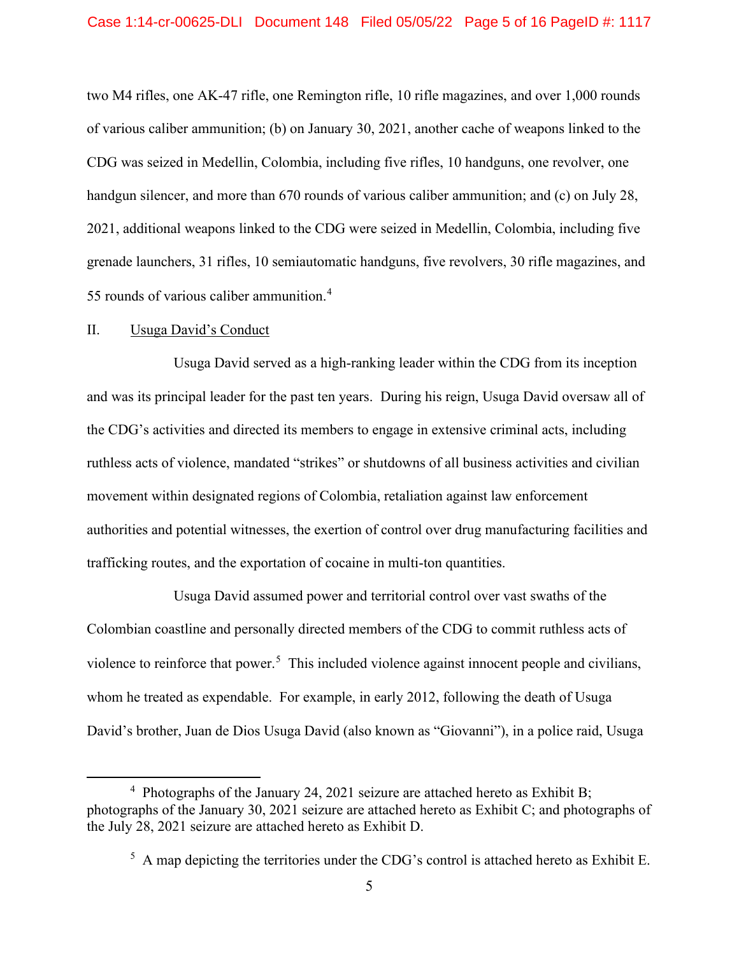two M4 rifles, one AK-47 rifle, one Remington rifle, 10 rifle magazines, and over 1,000 rounds of various caliber ammunition; (b) on January 30, 2021, another cache of weapons linked to the CDG was seized in Medellin, Colombia, including five rifles, 10 handguns, one revolver, one handgun silencer, and more than 670 rounds of various caliber ammunition; and (c) on July 28, 2021, additional weapons linked to the CDG were seized in Medellin, Colombia, including five grenade launchers, 31 rifles, 10 semiautomatic handguns, five revolvers, 30 rifle magazines, and 55 rounds of various caliber ammunition. [4](#page-4-0)

## II. Usuga David's Conduct

Usuga David served as a high-ranking leader within the CDG from its inception and was its principal leader for the past ten years. During his reign, Usuga David oversaw all of the CDG's activities and directed its members to engage in extensive criminal acts, including ruthless acts of violence, mandated "strikes" or shutdowns of all business activities and civilian movement within designated regions of Colombia, retaliation against law enforcement authorities and potential witnesses, the exertion of control over drug manufacturing facilities and trafficking routes, and the exportation of cocaine in multi-ton quantities.

Usuga David assumed power and territorial control over vast swaths of the Colombian coastline and personally directed members of the CDG to commit ruthless acts of violence to reinforce that power.<sup>[5](#page-4-1)</sup> This included violence against innocent people and civilians, whom he treated as expendable. For example, in early 2012, following the death of Usuga David's brother, Juan de Dios Usuga David (also known as "Giovanni"), in a police raid, Usuga

<span id="page-4-1"></span><span id="page-4-0"></span><sup>&</sup>lt;sup>4</sup> Photographs of the January 24, 2021 seizure are attached hereto as Exhibit B; photographs of the January 30, 2021 seizure are attached hereto as Exhibit C; and photographs of the July 28, 2021 seizure are attached hereto as Exhibit D.

 $<sup>5</sup>$  A map depicting the territories under the CDG's control is attached hereto as Exhibit E.</sup>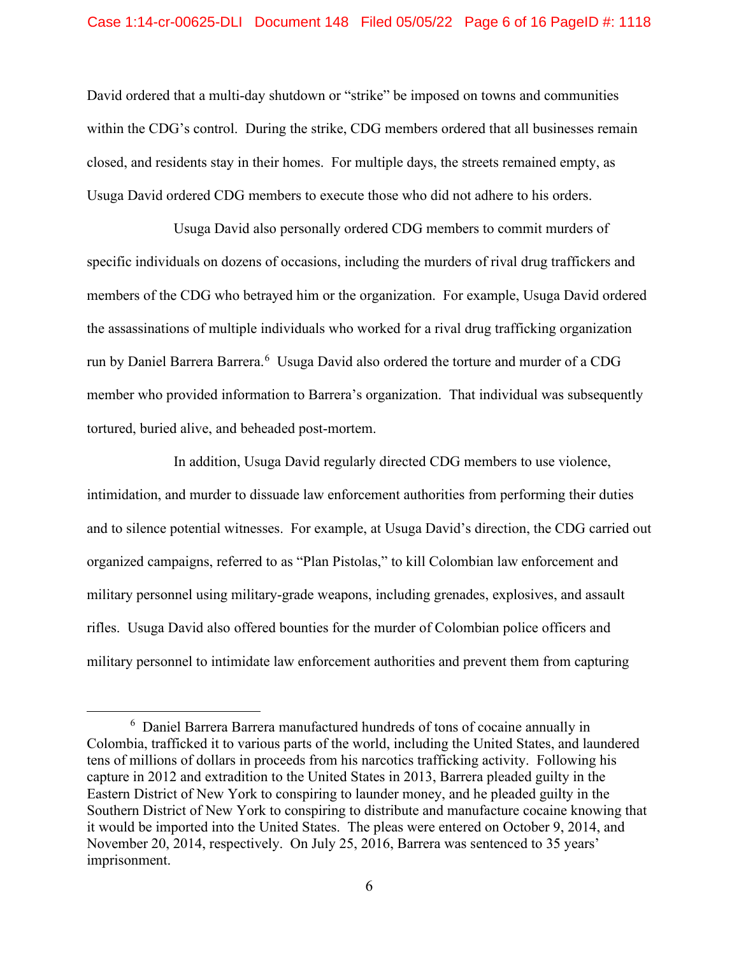## Case 1:14-cr-00625-DLI Document 148 Filed 05/05/22 Page 6 of 16 PageID #: 1118

David ordered that a multi-day shutdown or "strike" be imposed on towns and communities within the CDG's control. During the strike, CDG members ordered that all businesses remain closed, and residents stay in their homes. For multiple days, the streets remained empty, as Usuga David ordered CDG members to execute those who did not adhere to his orders.

Usuga David also personally ordered CDG members to commit murders of specific individuals on dozens of occasions, including the murders of rival drug traffickers and members of the CDG who betrayed him or the organization. For example, Usuga David ordered the assassinations of multiple individuals who worked for a rival drug trafficking organization run by Daniel Barrera Barrera.<sup>[6](#page-5-0)</sup> Usuga David also ordered the torture and murder of a CDG member who provided information to Barrera's organization. That individual was subsequently tortured, buried alive, and beheaded post-mortem.

In addition, Usuga David regularly directed CDG members to use violence, intimidation, and murder to dissuade law enforcement authorities from performing their duties and to silence potential witnesses. For example, at Usuga David's direction, the CDG carried out organized campaigns, referred to as "Plan Pistolas," to kill Colombian law enforcement and military personnel using military-grade weapons, including grenades, explosives, and assault rifles. Usuga David also offered bounties for the murder of Colombian police officers and military personnel to intimidate law enforcement authorities and prevent them from capturing

<span id="page-5-0"></span><sup>&</sup>lt;sup>6</sup> Daniel Barrera Barrera manufactured hundreds of tons of cocaine annually in Colombia, trafficked it to various parts of the world, including the United States, and laundered tens of millions of dollars in proceeds from his narcotics trafficking activity. Following his capture in 2012 and extradition to the United States in 2013, Barrera pleaded guilty in the Eastern District of New York to conspiring to launder money, and he pleaded guilty in the Southern District of New York to conspiring to distribute and manufacture cocaine knowing that it would be imported into the United States. The pleas were entered on October 9, 2014, and November 20, 2014, respectively. On July 25, 2016, Barrera was sentenced to 35 years' imprisonment.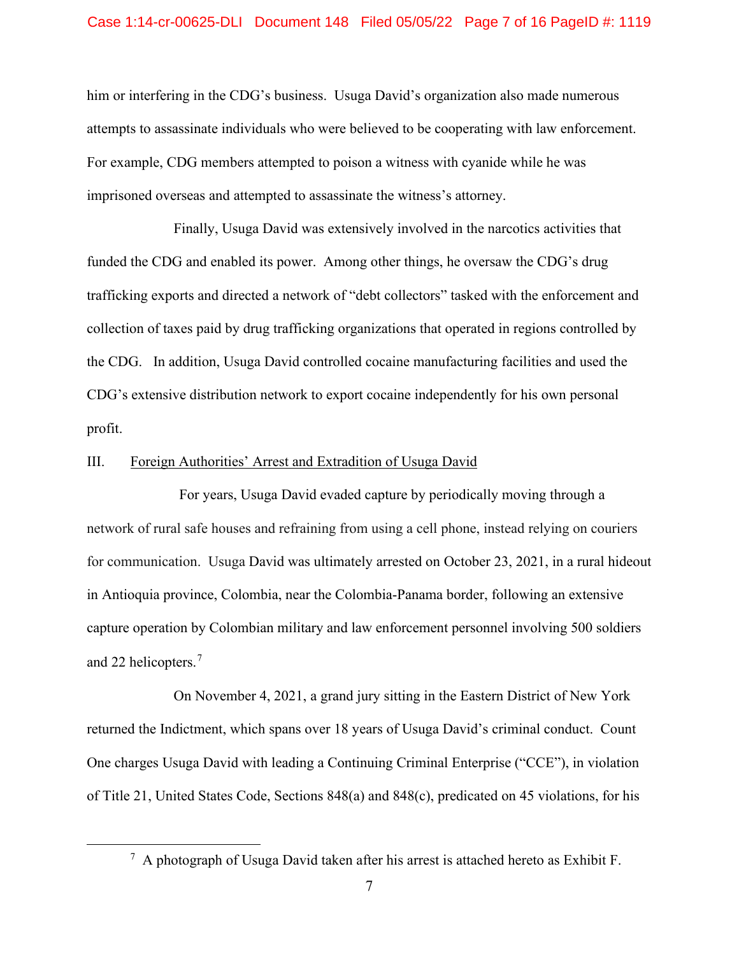### Case 1:14-cr-00625-DLI Document 148 Filed 05/05/22 Page 7 of 16 PageID #: 1119

him or interfering in the CDG's business. Usuga David's organization also made numerous attempts to assassinate individuals who were believed to be cooperating with law enforcement. For example, CDG members attempted to poison a witness with cyanide while he was imprisoned overseas and attempted to assassinate the witness's attorney.

Finally, Usuga David was extensively involved in the narcotics activities that funded the CDG and enabled its power. Among other things, he oversaw the CDG's drug trafficking exports and directed a network of "debt collectors" tasked with the enforcement and collection of taxes paid by drug trafficking organizations that operated in regions controlled by the CDG. In addition, Usuga David controlled cocaine manufacturing facilities and used the CDG's extensive distribution network to export cocaine independently for his own personal profit.

## III. Foreign Authorities' Arrest and Extradition of Usuga David

For years, Usuga David evaded capture by periodically moving through a network of rural safe houses and refraining from using a cell phone, instead relying on couriers for communication. Usuga David was ultimately arrested on October 23, 2021, in a rural hideout in Antioquia province, Colombia, near the Colombia-Panama border, following an extensive capture operation by Colombian military and law enforcement personnel involving 500 soldiers and 22 helicopters.<sup>[7](#page-6-0)</sup>

On November 4, 2021, a grand jury sitting in the Eastern District of New York returned the Indictment, which spans over 18 years of Usuga David's criminal conduct. Count One charges Usuga David with leading a Continuing Criminal Enterprise ("CCE"), in violation of Title 21, United States Code, Sections 848(a) and 848(c), predicated on 45 violations, for his

<span id="page-6-0"></span> $^7$  A photograph of Usuga David taken after his arrest is attached hereto as Exhibit F.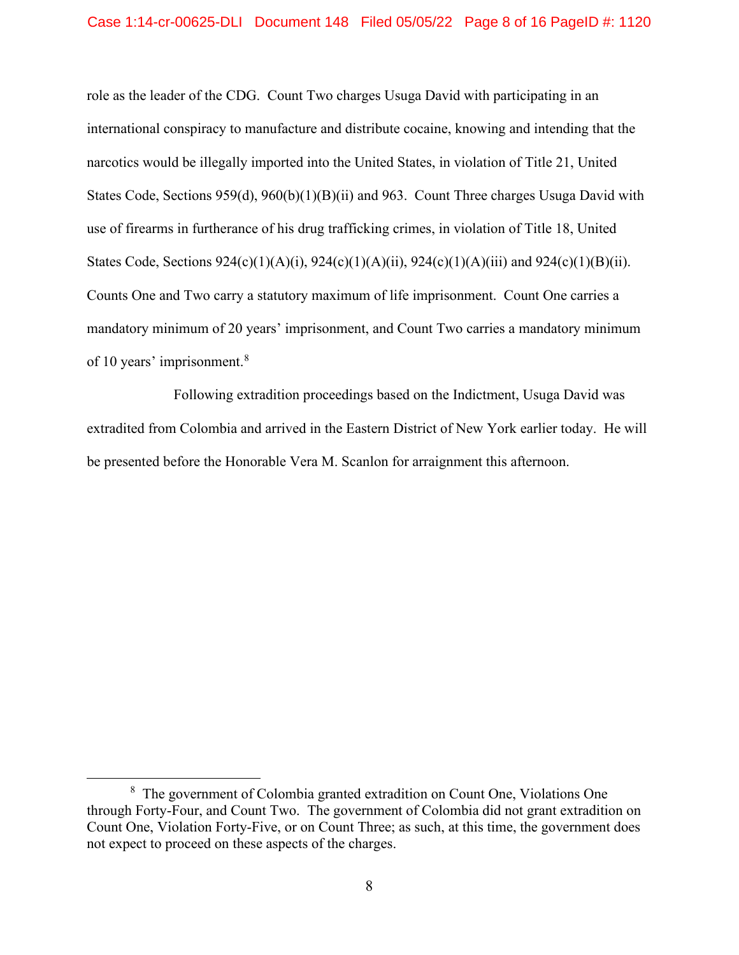role as the leader of the CDG. Count Two charges Usuga David with participating in an international conspiracy to manufacture and distribute cocaine, knowing and intending that the narcotics would be illegally imported into the United States, in violation of Title 21, United States Code, Sections 959(d), 960(b)(1)(B)(ii) and 963. Count Three charges Usuga David with use of firearms in furtherance of his drug trafficking crimes, in violation of Title 18, United States Code, Sections 924(c)(1)(A)(i), 924(c)(1)(A)(ii), 924(c)(1)(A)(iii) and 924(c)(1)(B)(ii). Counts One and Two carry a statutory maximum of life imprisonment. Count One carries a mandatory minimum of 20 years' imprisonment, and Count Two carries a mandatory minimum of 10 years' imprisonment.<sup>[8](#page-7-0)</sup>

Following extradition proceedings based on the Indictment, Usuga David was extradited from Colombia and arrived in the Eastern District of New York earlier today. He will be presented before the Honorable Vera M. Scanlon for arraignment this afternoon.

<span id="page-7-0"></span><sup>&</sup>lt;sup>8</sup> The government of Colombia granted extradition on Count One, Violations One through Forty-Four, and Count Two. The government of Colombia did not grant extradition on Count One, Violation Forty-Five, or on Count Three; as such, at this time, the government does not expect to proceed on these aspects of the charges.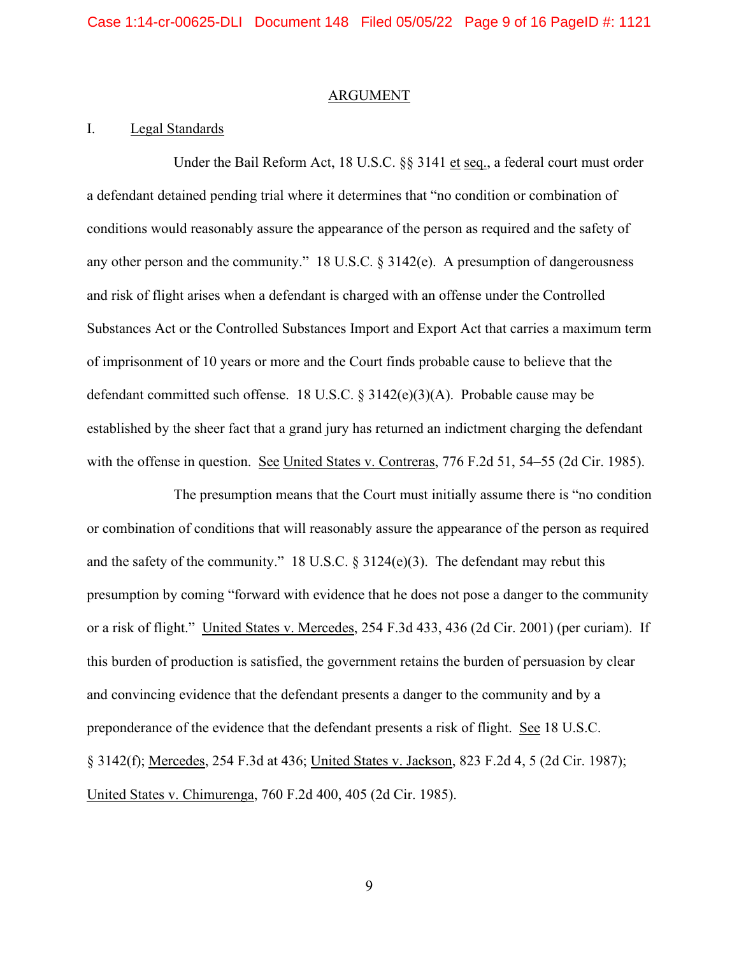#### ARGUMENT

## I. Legal Standards

Under the Bail Reform Act, 18 U.S.C. §§ 3141 et seq., a federal court must order a defendant detained pending trial where it determines that "no condition or combination of conditions would reasonably assure the appearance of the person as required and the safety of any other person and the community." 18 U.S.C. § 3142(e). A presumption of dangerousness and risk of flight arises when a defendant is charged with an offense under the Controlled Substances Act or the Controlled Substances Import and Export Act that carries a maximum term of imprisonment of 10 years or more and the Court finds probable cause to believe that the defendant committed such offense. 18 U.S.C. § 3142(e)(3)(A). Probable cause may be established by the sheer fact that a grand jury has returned an indictment charging the defendant with the offense in question. See United States v. Contreras, 776 F.2d 51, 54–55 (2d Cir. 1985).

The presumption means that the Court must initially assume there is "no condition or combination of conditions that will reasonably assure the appearance of the person as required and the safety of the community." 18 U.S.C. § 3124(e)(3). The defendant may rebut this presumption by coming "forward with evidence that he does not pose a danger to the community or a risk of flight." United States v. Mercedes, 254 F.3d 433, 436 (2d Cir. 2001) (per curiam). If this burden of production is satisfied, the government retains the burden of persuasion by clear and convincing evidence that the defendant presents a danger to the community and by a preponderance of the evidence that the defendant presents a risk of flight. See 18 U.S.C. § 3142(f); Mercedes, 254 F.3d at 436; United States v. Jackson, 823 F.2d 4, 5 (2d Cir. 1987); United States v. Chimurenga, 760 F.2d 400, 405 (2d Cir. 1985).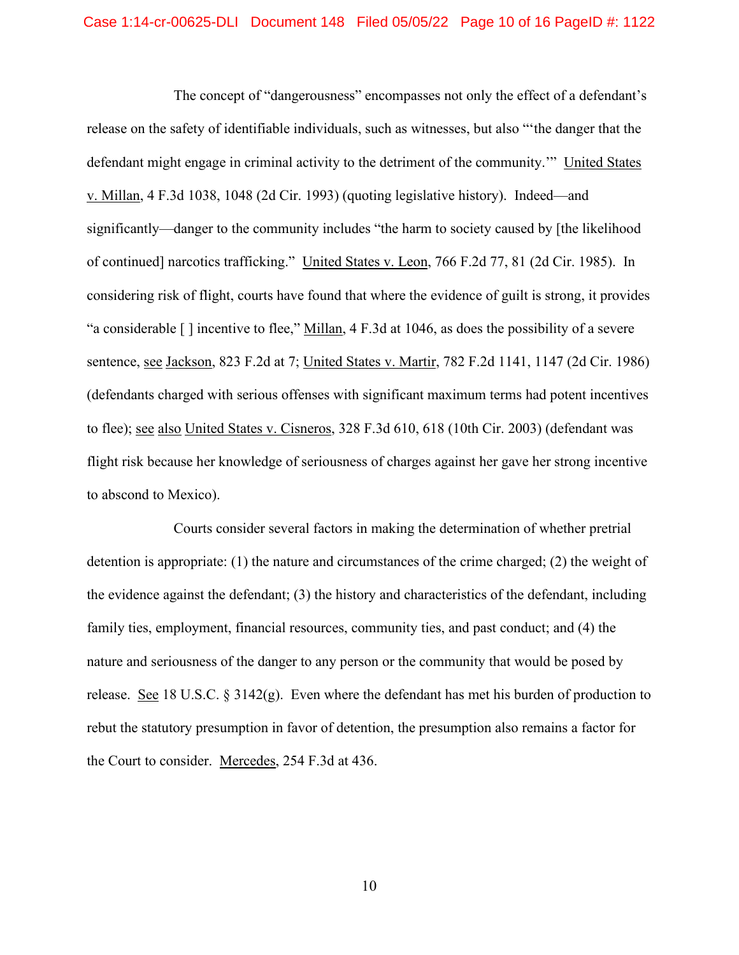The concept of "dangerousness" encompasses not only the effect of a defendant's release on the safety of identifiable individuals, such as witnesses, but also "'the danger that the defendant might engage in criminal activity to the detriment of the community.'" United States v. Millan, 4 F.3d 1038, 1048 (2d Cir. 1993) (quoting legislative history). Indeed—and significantly—danger to the community includes "the harm to society caused by [the likelihood of continued] narcotics trafficking." United States v. Leon, 766 F.2d 77, 81 (2d Cir. 1985). In considering risk of flight, courts have found that where the evidence of guilt is strong, it provides "a considerable [ ] incentive to flee," Millan, 4 F.3d at 1046, as does the possibility of a severe sentence, see Jackson, 823 F.2d at 7; United States v. Martir, 782 F.2d 1141, 1147 (2d Cir. 1986) (defendants charged with serious offenses with significant maximum terms had potent incentives to flee); see also United States v. Cisneros, 328 F.3d 610, 618 (10th Cir. 2003) (defendant was flight risk because her knowledge of seriousness of charges against her gave her strong incentive to abscond to Mexico).

Courts consider several factors in making the determination of whether pretrial detention is appropriate: (1) the nature and circumstances of the crime charged; (2) the weight of the evidence against the defendant; (3) the history and characteristics of the defendant, including family ties, employment, financial resources, community ties, and past conduct; and (4) the nature and seriousness of the danger to any person or the community that would be posed by release. See 18 U.S.C.  $\S 3142(g)$ . Even where the defendant has met his burden of production to rebut the statutory presumption in favor of detention, the presumption also remains a factor for the Court to consider. Mercedes, 254 F.3d at 436.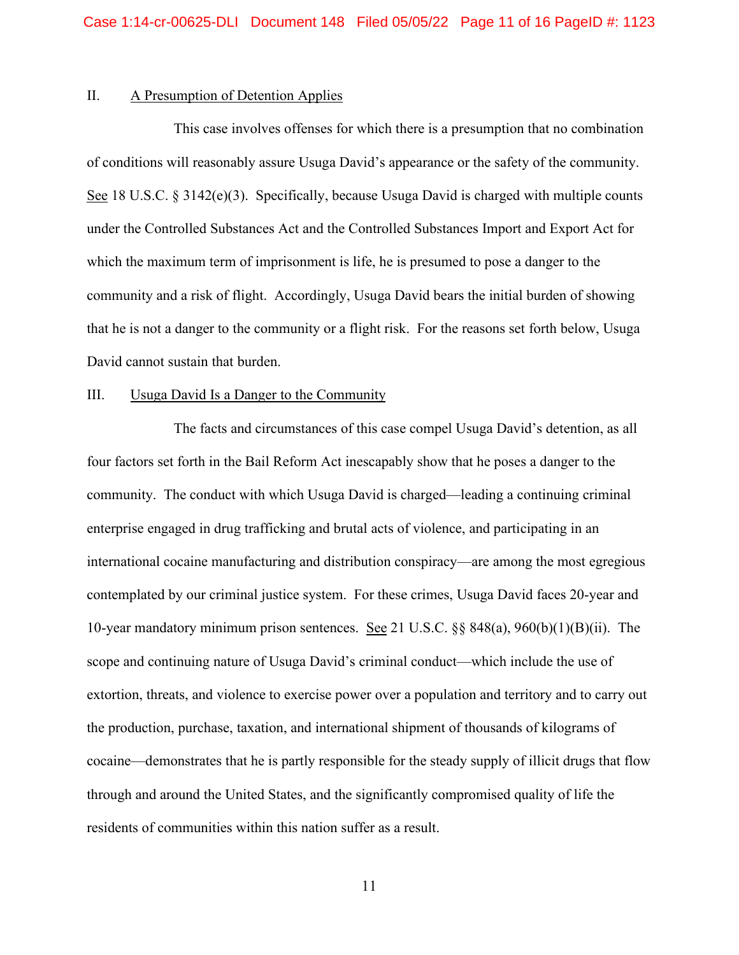## II. A Presumption of Detention Applies

This case involves offenses for which there is a presumption that no combination of conditions will reasonably assure Usuga David's appearance or the safety of the community. See 18 U.S.C. § 3142(e)(3). Specifically, because Usuga David is charged with multiple counts under the Controlled Substances Act and the Controlled Substances Import and Export Act for which the maximum term of imprisonment is life, he is presumed to pose a danger to the community and a risk of flight. Accordingly, Usuga David bears the initial burden of showing that he is not a danger to the community or a flight risk. For the reasons set forth below, Usuga David cannot sustain that burden.

## III. Usuga David Is a Danger to the Community

The facts and circumstances of this case compel Usuga David's detention, as all four factors set forth in the Bail Reform Act inescapably show that he poses a danger to the community. The conduct with which Usuga David is charged—leading a continuing criminal enterprise engaged in drug trafficking and brutal acts of violence, and participating in an international cocaine manufacturing and distribution conspiracy—are among the most egregious contemplated by our criminal justice system. For these crimes, Usuga David faces 20-year and 10-year mandatory minimum prison sentences. See 21 U.S.C. §§ 848(a), 960(b)(1)(B)(ii). The scope and continuing nature of Usuga David's criminal conduct—which include the use of extortion, threats, and violence to exercise power over a population and territory and to carry out the production, purchase, taxation, and international shipment of thousands of kilograms of cocaine—demonstrates that he is partly responsible for the steady supply of illicit drugs that flow through and around the United States, and the significantly compromised quality of life the residents of communities within this nation suffer as a result.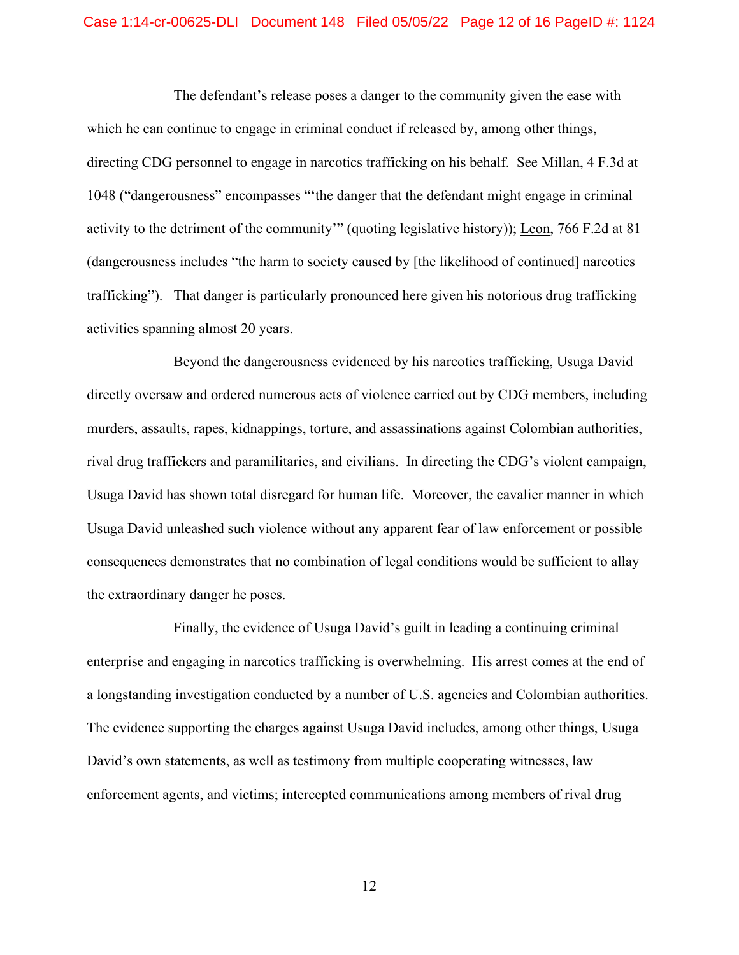### Case 1:14-cr-00625-DLI Document 148 Filed 05/05/22 Page 12 of 16 PageID #: 1124

The defendant's release poses a danger to the community given the ease with which he can continue to engage in criminal conduct if released by, among other things, directing CDG personnel to engage in narcotics trafficking on his behalf. See Millan, 4 F.3d at 1048 ("dangerousness" encompasses "'the danger that the defendant might engage in criminal activity to the detriment of the community'" (quoting legislative history)); Leon, 766 F.2d at 81 (dangerousness includes "the harm to society caused by [the likelihood of continued] narcotics trafficking"). That danger is particularly pronounced here given his notorious drug trafficking activities spanning almost 20 years.

Beyond the dangerousness evidenced by his narcotics trafficking, Usuga David directly oversaw and ordered numerous acts of violence carried out by CDG members, including murders, assaults, rapes, kidnappings, torture, and assassinations against Colombian authorities, rival drug traffickers and paramilitaries, and civilians. In directing the CDG's violent campaign, Usuga David has shown total disregard for human life. Moreover, the cavalier manner in which Usuga David unleashed such violence without any apparent fear of law enforcement or possible consequences demonstrates that no combination of legal conditions would be sufficient to allay the extraordinary danger he poses.

Finally, the evidence of Usuga David's guilt in leading a continuing criminal enterprise and engaging in narcotics trafficking is overwhelming. His arrest comes at the end of a longstanding investigation conducted by a number of U.S. agencies and Colombian authorities. The evidence supporting the charges against Usuga David includes, among other things, Usuga David's own statements, as well as testimony from multiple cooperating witnesses, law enforcement agents, and victims; intercepted communications among members of rival drug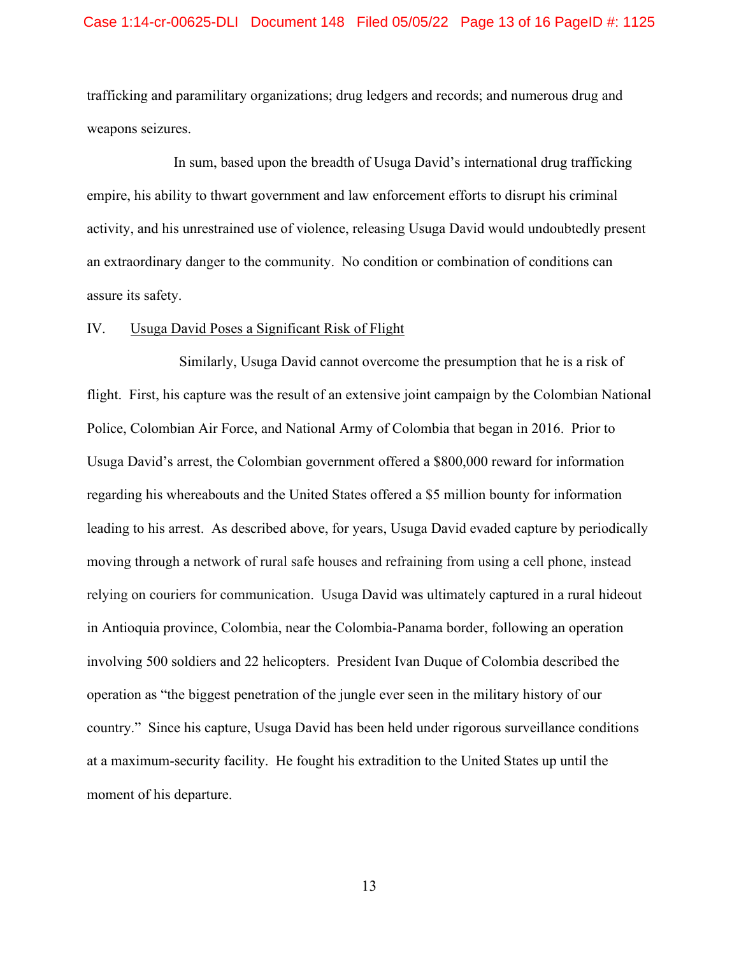## Case 1:14-cr-00625-DLI Document 148 Filed 05/05/22 Page 13 of 16 PageID #: 1125

trafficking and paramilitary organizations; drug ledgers and records; and numerous drug and weapons seizures.

In sum, based upon the breadth of Usuga David's international drug trafficking empire, his ability to thwart government and law enforcement efforts to disrupt his criminal activity, and his unrestrained use of violence, releasing Usuga David would undoubtedly present an extraordinary danger to the community. No condition or combination of conditions can assure its safety.

## IV. Usuga David Poses a Significant Risk of Flight

Similarly, Usuga David cannot overcome the presumption that he is a risk of flight. First, his capture was the result of an extensive joint campaign by the Colombian National Police, Colombian Air Force, and National Army of Colombia that began in 2016. Prior to Usuga David's arrest, the Colombian government offered a \$800,000 reward for information regarding his whereabouts and the United States offered a \$5 million bounty for information leading to his arrest. As described above, for years, Usuga David evaded capture by periodically moving through a network of rural safe houses and refraining from using a cell phone, instead relying on couriers for communication. Usuga David was ultimately captured in a rural hideout in Antioquia province, Colombia, near the Colombia-Panama border, following an operation involving 500 soldiers and 22 helicopters. President Ivan Duque of Colombia described the operation as "the biggest penetration of the jungle ever seen in the military history of our country." Since his capture, Usuga David has been held under rigorous surveillance conditions at a maximum-security facility. He fought his extradition to the United States up until the moment of his departure.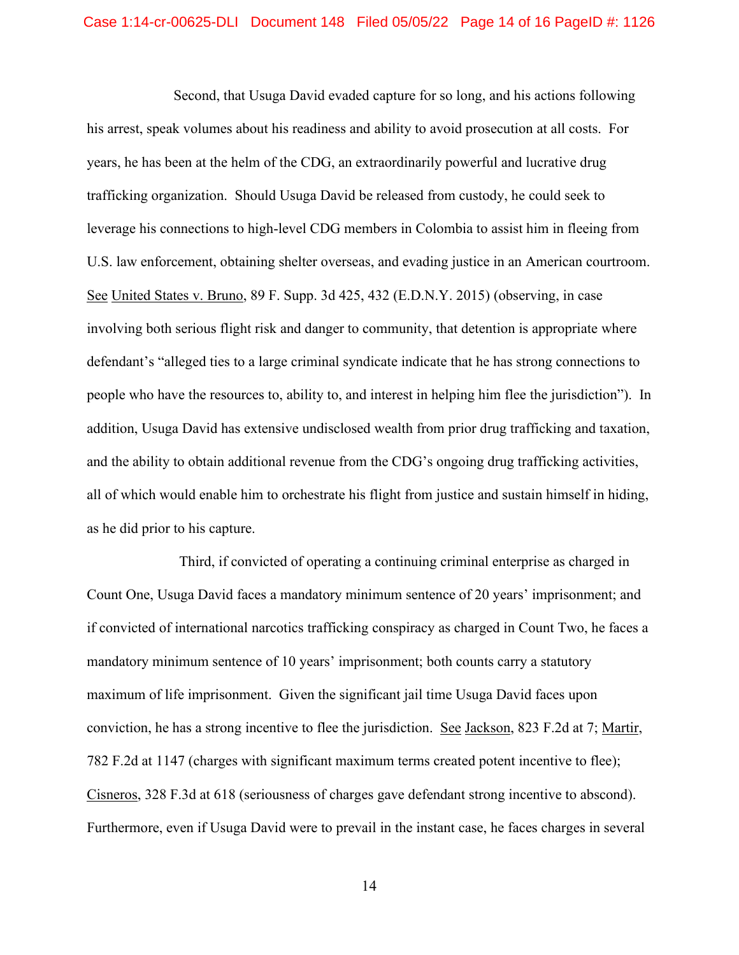Second, that Usuga David evaded capture for so long, and his actions following his arrest, speak volumes about his readiness and ability to avoid prosecution at all costs. For years, he has been at the helm of the CDG, an extraordinarily powerful and lucrative drug trafficking organization. Should Usuga David be released from custody, he could seek to leverage his connections to high-level CDG members in Colombia to assist him in fleeing from U.S. law enforcement, obtaining shelter overseas, and evading justice in an American courtroom. See United States v. Bruno, 89 F. Supp. 3d 425, 432 (E.D.N.Y. 2015) (observing, in case involving both serious flight risk and danger to community, that detention is appropriate where defendant's "alleged ties to a large criminal syndicate indicate that he has strong connections to people who have the resources to, ability to, and interest in helping him flee the jurisdiction"). In addition, Usuga David has extensive undisclosed wealth from prior drug trafficking and taxation, and the ability to obtain additional revenue from the CDG's ongoing drug trafficking activities, all of which would enable him to orchestrate his flight from justice and sustain himself in hiding, as he did prior to his capture.

Third, if convicted of operating a continuing criminal enterprise as charged in Count One, Usuga David faces a mandatory minimum sentence of 20 years' imprisonment; and if convicted of international narcotics trafficking conspiracy as charged in Count Two, he faces a mandatory minimum sentence of 10 years' imprisonment; both counts carry a statutory maximum of life imprisonment. Given the significant jail time Usuga David faces upon conviction, he has a strong incentive to flee the jurisdiction. See Jackson, 823 F.2d at 7; Martir, 782 F.2d at 1147 (charges with significant maximum terms created potent incentive to flee); Cisneros, 328 F.3d at 618 (seriousness of charges gave defendant strong incentive to abscond). Furthermore, even if Usuga David were to prevail in the instant case, he faces charges in several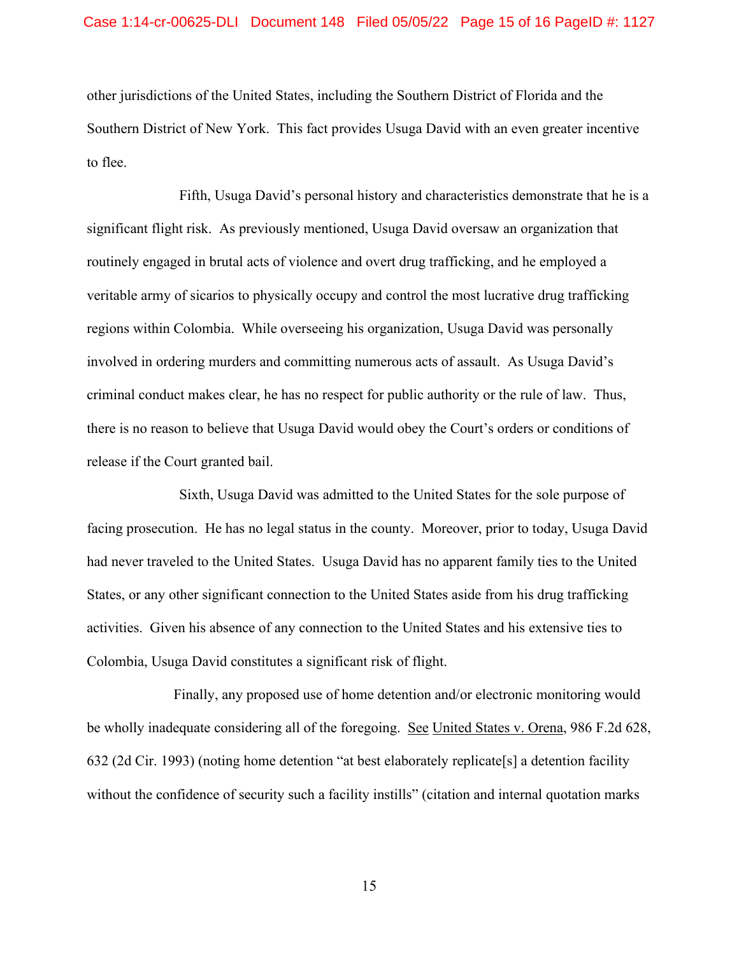## Case 1:14-cr-00625-DLI Document 148 Filed 05/05/22 Page 15 of 16 PageID #: 1127

other jurisdictions of the United States, including the Southern District of Florida and the Southern District of New York. This fact provides Usuga David with an even greater incentive to flee.

Fifth, Usuga David's personal history and characteristics demonstrate that he is a significant flight risk. As previously mentioned, Usuga David oversaw an organization that routinely engaged in brutal acts of violence and overt drug trafficking, and he employed a veritable army of sicarios to physically occupy and control the most lucrative drug trafficking regions within Colombia. While overseeing his organization, Usuga David was personally involved in ordering murders and committing numerous acts of assault. As Usuga David's criminal conduct makes clear, he has no respect for public authority or the rule of law. Thus, there is no reason to believe that Usuga David would obey the Court's orders or conditions of release if the Court granted bail.

Sixth, Usuga David was admitted to the United States for the sole purpose of facing prosecution. He has no legal status in the county. Moreover, prior to today, Usuga David had never traveled to the United States. Usuga David has no apparent family ties to the United States, or any other significant connection to the United States aside from his drug trafficking activities. Given his absence of any connection to the United States and his extensive ties to Colombia, Usuga David constitutes a significant risk of flight.

Finally, any proposed use of home detention and/or electronic monitoring would be wholly inadequate considering all of the foregoing. See United States v. Orena, 986 F.2d 628, 632 (2d Cir. 1993) (noting home detention "at best elaborately replicate[s] a detention facility without the confidence of security such a facility instills" (citation and internal quotation marks